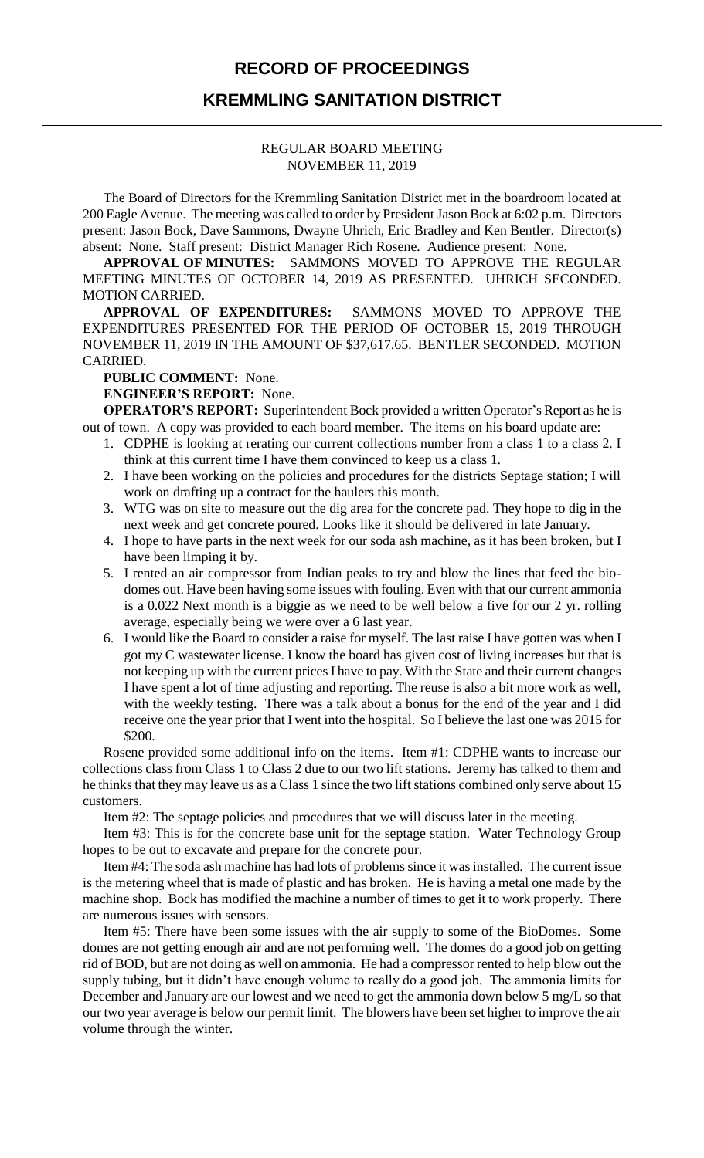# **RECORD OF PROCEEDINGS**

## **KREMMLING SANITATION DISTRICT**

#### REGULAR BOARD MEETING NOVEMBER 11, 2019

The Board of Directors for the Kremmling Sanitation District met in the boardroom located at 200 Eagle Avenue. The meeting was called to order by President Jason Bock at 6:02 p.m. Directors present: Jason Bock, Dave Sammons, Dwayne Uhrich, Eric Bradley and Ken Bentler. Director(s) absent: None. Staff present: District Manager Rich Rosene. Audience present: None.

**APPROVAL OF MINUTES:** SAMMONS MOVED TO APPROVE THE REGULAR MEETING MINUTES OF OCTOBER 14, 2019 AS PRESENTED. UHRICH SECONDED. MOTION CARRIED.

**APPROVAL OF EXPENDITURES:** SAMMONS MOVED TO APPROVE THE EXPENDITURES PRESENTED FOR THE PERIOD OF OCTOBER 15, 2019 THROUGH NOVEMBER 11, 2019 IN THE AMOUNT OF \$37,617.65. BENTLER SECONDED. MOTION CARRIED.

**PUBLIC COMMENT:** None.

**ENGINEER'S REPORT:** None.

**OPERATOR'S REPORT:** Superintendent Bock provided a written Operator's Report as he is out of town. A copy was provided to each board member. The items on his board update are:

- 1. CDPHE is looking at rerating our current collections number from a class 1 to a class 2. I think at this current time I have them convinced to keep us a class 1.
- 2. I have been working on the policies and procedures for the districts Septage station; I will work on drafting up a contract for the haulers this month.
- 3. WTG was on site to measure out the dig area for the concrete pad. They hope to dig in the next week and get concrete poured. Looks like it should be delivered in late January.
- 4. I hope to have parts in the next week for our soda ash machine, as it has been broken, but I have been limping it by.
- 5. I rented an air compressor from Indian peaks to try and blow the lines that feed the biodomes out. Have been having some issues with fouling. Even with that our current ammonia is a 0.022 Next month is a biggie as we need to be well below a five for our 2 yr. rolling average, especially being we were over a 6 last year.
- 6. I would like the Board to consider a raise for myself. The last raise I have gotten was when I got my C wastewater license. I know the board has given cost of living increases but that is not keeping up with the current prices I have to pay. With the State and their current changes I have spent a lot of time adjusting and reporting. The reuse is also a bit more work as well, with the weekly testing. There was a talk about a bonus for the end of the year and I did receive one the year prior that I went into the hospital. So I believe the last one was 2015 for \$200.

Rosene provided some additional info on the items. Item #1: CDPHE wants to increase our collections class from Class 1 to Class 2 due to our two lift stations. Jeremy has talked to them and he thinks that they may leave us as a Class 1 since the two lift stations combined only serve about 15 customers.

Item #2: The septage policies and procedures that we will discuss later in the meeting.

Item #3: This is for the concrete base unit for the septage station. Water Technology Group hopes to be out to excavate and prepare for the concrete pour.

Item #4: The soda ash machine has had lots of problems since it was installed. The current issue is the metering wheel that is made of plastic and has broken. He is having a metal one made by the machine shop. Bock has modified the machine a number of times to get it to work properly. There are numerous issues with sensors.

Item #5: There have been some issues with the air supply to some of the BioDomes. Some domes are not getting enough air and are not performing well. The domes do a good job on getting rid of BOD, but are not doing as well on ammonia. He had a compressor rented to help blow out the supply tubing, but it didn't have enough volume to really do a good job. The ammonia limits for December and January are our lowest and we need to get the ammonia down below 5 mg/L so that our two year average is below our permit limit. The blowers have been set higher to improve the air volume through the winter.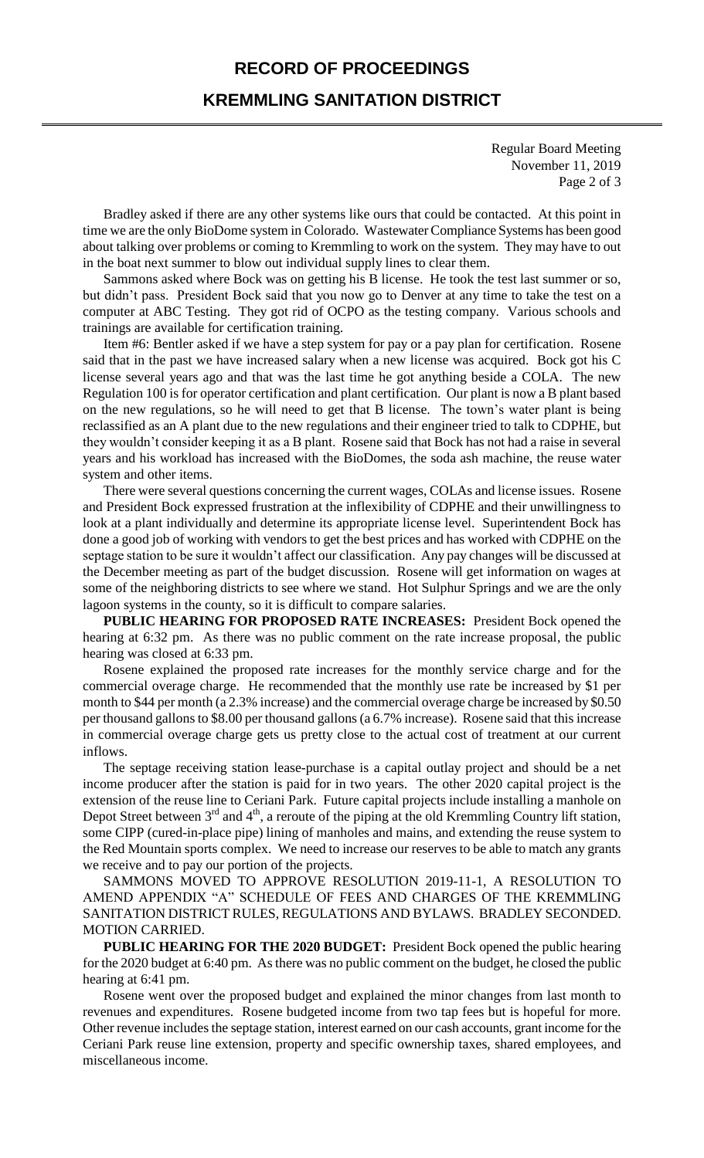# **RECORD OF PROCEEDINGS**

# **KREMMLING SANITATION DISTRICT**

Regular Board Meeting November 11, 2019 Page 2 of 3

Bradley asked if there are any other systems like ours that could be contacted. At this point in time we are the only BioDome system in Colorado. Wastewater Compliance Systems has been good about talking over problems or coming to Kremmling to work on the system. They may have to out in the boat next summer to blow out individual supply lines to clear them.

Sammons asked where Bock was on getting his B license. He took the test last summer or so, but didn't pass. President Bock said that you now go to Denver at any time to take the test on a computer at ABC Testing. They got rid of OCPO as the testing company. Various schools and trainings are available for certification training.

Item #6: Bentler asked if we have a step system for pay or a pay plan for certification. Rosene said that in the past we have increased salary when a new license was acquired. Bock got his C license several years ago and that was the last time he got anything beside a COLA. The new Regulation 100 is for operator certification and plant certification. Our plant is now a B plant based on the new regulations, so he will need to get that B license. The town's water plant is being reclassified as an A plant due to the new regulations and their engineer tried to talk to CDPHE, but they wouldn't consider keeping it as a B plant. Rosene said that Bock has not had a raise in several years and his workload has increased with the BioDomes, the soda ash machine, the reuse water system and other items.

There were several questions concerning the current wages, COLAs and license issues. Rosene and President Bock expressed frustration at the inflexibility of CDPHE and their unwillingness to look at a plant individually and determine its appropriate license level. Superintendent Bock has done a good job of working with vendors to get the best prices and has worked with CDPHE on the septage station to be sure it wouldn't affect our classification. Any pay changes will be discussed at the December meeting as part of the budget discussion. Rosene will get information on wages at some of the neighboring districts to see where we stand. Hot Sulphur Springs and we are the only lagoon systems in the county, so it is difficult to compare salaries.

**PUBLIC HEARING FOR PROPOSED RATE INCREASES:** President Bock opened the hearing at 6:32 pm. As there was no public comment on the rate increase proposal, the public hearing was closed at 6:33 pm.

Rosene explained the proposed rate increases for the monthly service charge and for the commercial overage charge. He recommended that the monthly use rate be increased by \$1 per month to \$44 per month (a 2.3% increase) and the commercial overage charge be increased by \$0.50 per thousand gallons to \$8.00 per thousand gallons (a 6.7% increase). Rosene said that this increase in commercial overage charge gets us pretty close to the actual cost of treatment at our current inflows.

The septage receiving station lease-purchase is a capital outlay project and should be a net income producer after the station is paid for in two years. The other 2020 capital project is the extension of the reuse line to Ceriani Park. Future capital projects include installing a manhole on Depot Street between  $3<sup>rd</sup>$  and  $4<sup>th</sup>$ , a reroute of the piping at the old Kremmling Country lift station, some CIPP (cured-in-place pipe) lining of manholes and mains, and extending the reuse system to the Red Mountain sports complex. We need to increase our reserves to be able to match any grants we receive and to pay our portion of the projects.

SAMMONS MOVED TO APPROVE RESOLUTION 2019-11-1, A RESOLUTION TO AMEND APPENDIX "A" SCHEDULE OF FEES AND CHARGES OF THE KREMMLING SANITATION DISTRICT RULES, REGULATIONS AND BYLAWS. BRADLEY SECONDED. MOTION CARRIED.

**PUBLIC HEARING FOR THE 2020 BUDGET:** President Bock opened the public hearing for the 2020 budget at 6:40 pm. As there was no public comment on the budget, he closed the public hearing at 6:41 pm.

Rosene went over the proposed budget and explained the minor changes from last month to revenues and expenditures. Rosene budgeted income from two tap fees but is hopeful for more. Other revenue includes the septage station, interest earned on our cash accounts, grant income for the Ceriani Park reuse line extension, property and specific ownership taxes, shared employees, and miscellaneous income.